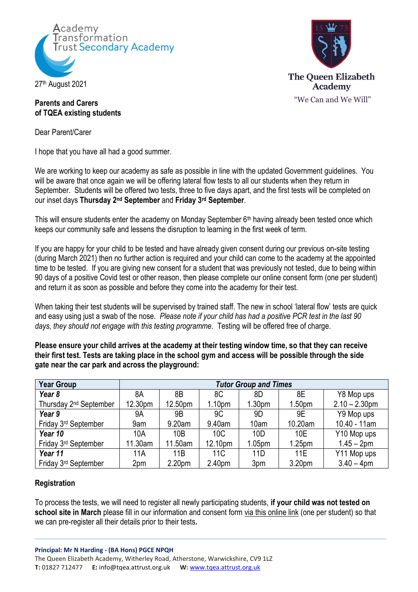



## **Parents and Carers of TQEA existing students**

Dear Parent/Carer

I hope that you have all had a good summer.

We are working to keep our academy as safe as possible in line with the updated Government guidelines. You will be aware that once again we will be offering lateral flow tests to all our students when they return in September. Students will be offered two tests, three to five days apart, and the first tests will be completed on our inset days **Thursday 2nd September** and **Friday 3rd September**.

This will ensure students enter the academy on Monday September 6<sup>th</sup> having already been tested once which keeps our community safe and lessens the disruption to learning in the first week of term.

If you are happy for your child to be tested and have already given consent during our previous on-site testing (during March 2021) then no further action is required and your child can come to the academy at the appointed time to be tested. If you are giving new consent for a student that was previously not tested, due to being within 90 days of a positive Covid test or other reason, then please complete our online consent form (one per student) and return it as soon as possible and before they come into the academy for their test.

When taking their test students will be supervised by trained staff. The new in school 'lateral flow' tests are quick and easy using just a swab of the nose. *Please note if your child has had a positive PCR test in the last 90 days, they should not engage with this testing programme.* Testing will be offered free of charge.

**Please ensure your child arrives at the academy at their testing window time, so that they can receive their first test. Tests are taking place in the school gym and access will be possible through the side gate near the car park and across the playground:**

| <b>Year Group</b>                  | <b>Tutor Group and Times</b> |         |                    |                    |                    |                  |
|------------------------------------|------------------------------|---------|--------------------|--------------------|--------------------|------------------|
| Year 8                             | 8A                           | 8B      | 8C                 | 8D                 | 8E                 | Y8 Mop ups       |
| Thursday 2 <sup>nd</sup> September | 12.30pm                      | 12.50pm | 1.10 <sub>pm</sub> | 1.30 <sub>pm</sub> | 1.50 <sub>pm</sub> | $2.10 - 2.30$ pm |
| Year 9                             | 9A                           | 9B      | 9 <sub>C</sub>     | 9D                 | 9E                 | Y9 Mop ups       |
| Friday 3rd September               | 9am                          | 9.20am  | 9.40am             | 10am               | 10.20am            | $10.40 - 11am$   |
| Year 10                            | 10A                          | 10B     | 10C                | 10 <sub>D</sub>    | 10E                | Y10 Mop ups      |
| Friday 3rd September               | 11.30am                      | 11.50am | 12.10pm            | 1.05pm             | 1.25 <sub>pm</sub> | $1.45 - 2pm$     |
| Year 11                            | 11A                          | 11B     | 11C                | 11D                | <b>11E</b>         | Y11 Mop ups      |
| Friday 3rd September               | 2pm                          | 2.20pm  | 2.40pm             | 3pm                | 3.20pm             | $3.40 - 4$ pm    |

# **Registration**

To process the tests, we will need to register all newly participating students, **if your child was not tested on school site in March** please fill in our information and consent form [via this online link](https://docs.google.com/forms/d/e/1FAIpQLSeQ1EUsABBMflV1kB-THiruY2v8JvxGewoR0AWP7TMsVYq4yA/viewform?vc=0&c=0&w=1&flr=0) (one per student) so that we can pre-register all their details prior to their tests**.**